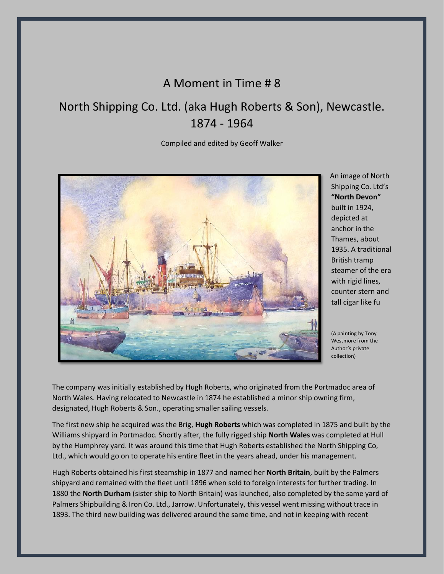# A Moment in Time # 8

# North Shipping Co. Ltd. (aka Hugh Roberts & Son), Newcastle. 1874 - 1964

# Compiled and edited by Geoff Walker



An image of North Shipping Co. Ltd's **"North Devon"** built in 1924, depicted at anchor in the Thames, about 1935. A traditional British tramp steamer of the era with rigid lines, counter stern and tall cigar like fu

(A painting by Tony Westmore from the Author's private collection)

The company was initially established by Hugh Roberts, who originated from the Portmadoc area of North Wales. Having relocated to Newcastle in 1874 he established a minor ship owning firm, designated, Hugh Roberts & Son., operating smaller sailing vessels.

The first new ship he acquired was the Brig, **Hugh Roberts** which was completed in 1875 and built by the Williams shipyard in Portmadoc. Shortly after, the fully rigged ship **North Wales** was completed at Hull by the Humphrey yard. It was around this time that Hugh Roberts established the North Shipping Co, Ltd., which would go on to operate his entire fleet in the years ahead, under his management.

Hugh Roberts obtained his first steamship in 1877 and named her **North Britain**, built by the Palmers shipyard and remained with the fleet until 1896 when sold to foreign interests for further trading. In 1880 the **North Durham** (sister ship to North Britain) was launched, also completed by the same yard of Palmers Shipbuilding & Iron Co. Ltd., Jarrow. Unfortunately, this vessel went missing without trace in 1893. The third new building was delivered around the same time, and not in keeping with recent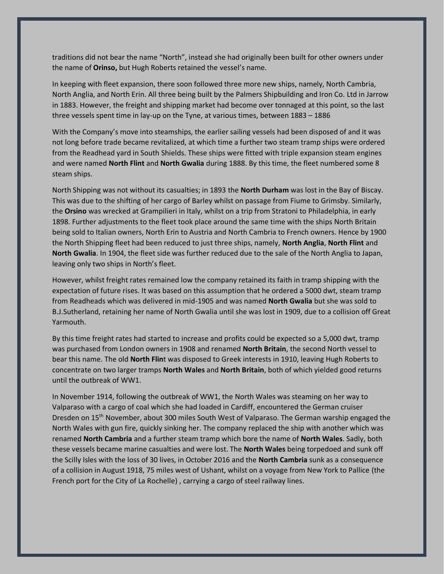traditions did not bear the name "North", instead she had originally been built for other owners under the name of **Orinso,** but Hugh Roberts retained the vessel's name.

In keeping with fleet expansion, there soon followed three more new ships, namely, North Cambria, North Anglia, and North Erin. All three being built by the Palmers Shipbuilding and Iron Co. Ltd in Jarrow in 1883. However, the freight and shipping market had become over tonnaged at this point, so the last three vessels spent time in lay-up on the Tyne, at various times, between 1883 – 1886

With the Company's move into steamships, the earlier sailing vessels had been disposed of and it was not long before trade became revitalized, at which time a further two steam tramp ships were ordered from the Readhead yard in South Shields. These ships were fitted with triple expansion steam engines and were named **North Flint** and **North Gwalia** during 1888. By this time, the fleet numbered some 8 steam ships.

North Shipping was not without its casualties; in 1893 the **North Durham** was lost in the Bay of Biscay. This was due to the shifting of her cargo of Barley whilst on passage from Fiume to Grimsby. Similarly, the **Orsino** was wrecked at Grampilieri in Italy, whilst on a trip from Stratoni to Philadelphia, in early 1898. Further adjustments to the fleet took place around the same time with the ships North Britain being sold to Italian owners, North Erin to Austria and North Cambria to French owners. Hence by 1900 the North Shipping fleet had been reduced to just three ships, namely, **North Anglia**, **North Flint** and **North Gwalia**. In 1904, the fleet side was further reduced due to the sale of the North Anglia to Japan, leaving only two ships in North's fleet.

However, whilst freight rates remained low the company retained its faith in tramp shipping with the expectation of future rises. It was based on this assumption that he ordered a 5000 dwt, steam tramp from Readheads which was delivered in mid-1905 and was named **North Gwalia** but she was sold to B.J.Sutherland, retaining her name of North Gwalia until she was lost in 1909, due to a collision off Great Yarmouth.

By this time freight rates had started to increase and profits could be expected so a 5,000 dwt, tramp was purchased from London owners in 1908 and renamed **North Britain**, the second North vessel to bear this name. The old **North Flin**t was disposed to Greek interests in 1910, leaving Hugh Roberts to concentrate on two larger tramps **North Wales** and **North Britain**, both of which yielded good returns until the outbreak of WW1.

In November 1914, following the outbreak of WW1, the North Wales was steaming on her way to Valparaso with a cargo of coal which she had loaded in Cardiff, encountered the German cruiser Dresden on 15<sup>th</sup> November, about 300 miles South West of Valparaso. The German warship engaged the North Wales with gun fire, quickly sinking her. The company replaced the ship with another which was renamed **North Cambria** and a further steam tramp which bore the name of **North Wales**. Sadly, both these vessels became marine casualties and were lost. The **North Wales** being torpedoed and sunk off the Scilly Isles with the loss of 30 lives, in October 2016 and the **North Cambria** sunk as a consequence of a collision in August 1918, 75 miles west of Ushant, whilst on a voyage from New York to Pallice (the French port for the City of La Rochelle) , carrying a cargo of steel railway lines.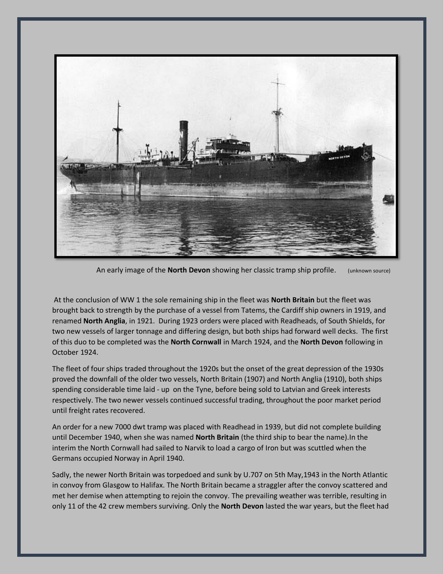

An early image of the **North Devon** showing her classic tramp ship profile. (unknown source)

At the conclusion of WW 1 the sole remaining ship in the fleet was **North Britain** but the fleet was brought back to strength by the purchase of a vessel from Tatems, the Cardiff ship owners in 1919, and renamed **North Anglia**, in 1921. During 1923 orders were placed with Readheads, of South Shields, for two new vessels of larger tonnage and differing design, but both ships had forward well decks. The first of this duo to be completed was the **North Cornwall** in March 1924, and the **North Devon** following in October 1924.

The fleet of four ships traded throughout the 1920s but the onset of the great depression of the 1930s proved the downfall of the older two vessels, North Britain (1907) and North Anglia (1910), both ships spending considerable time laid - up on the Tyne, before being sold to Latvian and Greek interests respectively. The two newer vessels continued successful trading, throughout the poor market period until freight rates recovered.

An order for a new 7000 dwt tramp was placed with Readhead in 1939, but did not complete building until December 1940, when she was named **North Britain** (the third ship to bear the name).In the interim the North Cornwall had sailed to Narvik to load a cargo of Iron but was scuttled when the Germans occupied Norway in April 1940.

Sadly, the newer North Britain was torpedoed and sunk by U.707 on 5th May,1943 in the North Atlantic in convoy from Glasgow to Halifax. The North Britain became a straggler after the convoy scattered and met her demise when attempting to rejoin the convoy. The prevailing weather was terrible, resulting in only 11 of the 42 crew members surviving. Only the **North Devon** lasted the war years, but the fleet had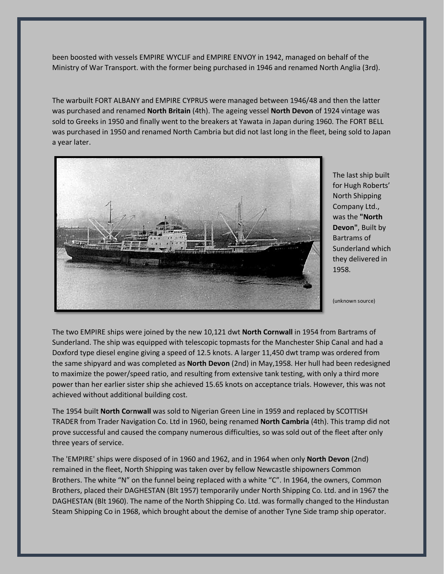been boosted with vessels EMPIRE WYCLIF and EMPIRE ENVOY in 1942, managed on behalf of the Ministry of War Transport. with the former being purchased in 1946 and renamed North Anglia (3rd).

The warbuilt FORT ALBANY and EMPIRE CYPRUS were managed between 1946/48 and then the latter was purchased and renamed **North Britain** (4th). The ageing vessel **North Devon** of 1924 vintage was sold to Greeks in 1950 and finally went to the breakers at Yawata in Japan during 1960. The FORT BELL was purchased in 1950 and renamed North Cambria but did not last long in the fleet, being sold to Japan a year later.



The last ship built for Hugh Roberts' North Shipping Company Ltd., was the **"North Devon"**, Built by Bartrams of Sunderland which they delivered in 1958.

(unknown source)

The two EMPIRE ships were joined by the new 10,121 dwt **North Cornwall** in 1954 from Bartrams of Sunderland. The ship was equipped with telescopic topmasts for the Manchester Ship Canal and had a Doxford type diesel engine giving a speed of 12.5 knots. A larger 11,450 dwt tramp was ordered from the same shipyard and was completed as **North Devon** (2nd) in May,1958. Her hull had been redesigned to maximize the power/speed ratio, and resulting from extensive tank testing, with only a third more power than her earlier sister ship she achieved 15.65 knots on acceptance trials. However, this was not achieved without additional building cost.

The 1954 built **North Co**r**nwall** was sold to Nigerian Green Line in 1959 and replaced by SCOTTISH TRADER from Trader Navigation Co. Ltd in 1960, being renamed **North Cambria** (4th). This tramp did not prove successful and caused the company numerous difficulties, so was sold out of the fleet after only three years of service.

The 'EMPIRE' ships were disposed of in 1960 and 1962, and in 1964 when only **North Devon** (2nd) remained in the fleet, North Shipping was taken over by fellow Newcastle shipowners Common Brothers. The white "N" on the funnel being replaced with a white "C". In 1964, the owners, Common Brothers, placed their DAGHESTAN (Blt 1957) temporarily under North Shipping Co. Ltd. and in 1967 the DAGHESTAN (Blt 1960). The name of the North Shipping Co. Ltd. was formally changed to the Hindustan Steam Shipping Co in 1968, which brought about the demise of another Tyne Side tramp ship operator.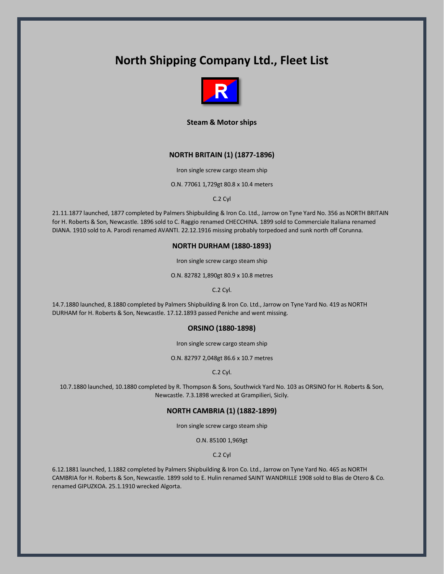# **North Shipping Company Ltd., Fleet List**



**Steam & Motor ships**

# **NORTH BRITAIN (1) (1877-1896)**

Iron single screw cargo steam ship

O.N. 77061 1,729gt 80.8 x 10.4 meters

C.2 Cyl

21.11.1877 launched, 1877 completed by Palmers Shipbuilding & Iron Co. Ltd., Jarrow on Tyne Yard No. 356 as NORTH BRITAIN for H. Roberts & Son, Newcastle. 1896 sold to C. Raggio renamed CHECCHINA. 1899 sold to Commerciale Italiana renamed DIANA. 1910 sold to A. Parodi renamed AVANTI. 22.12.1916 missing probably torpedoed and sunk north off Corunna.

## **NORTH DURHAM (1880-1893)**

Iron single screw cargo steam ship

O.N. 82782 1,890gt 80.9 x 10.8 metres

C.2 Cyl.

14.7.1880 launched, 8.1880 completed by Palmers Shipbuilding & Iron Co. Ltd., Jarrow on Tyne Yard No. 419 as NORTH DURHAM for H. Roberts & Son, Newcastle. 17.12.1893 passed Peniche and went missing.

# **ORSINO (1880-1898)**

Iron single screw cargo steam ship

O.N. 82797 2,048gt 86.6 x 10.7 metres

C.2 Cyl.

10.7.1880 launched, 10.1880 completed by R. Thompson & Sons, Southwick Yard No. 103 as ORSINO for H. Roberts & Son, Newcastle. 7.3.1898 wrecked at Grampilieri, Sicily.

# **NORTH CAMBRIA (1) (1882-1899)**

Iron single screw cargo steam ship

O.N. 85100 1,969gt

C.2 Cyl

6.12.1881 launched, 1.1882 completed by Palmers Shipbuilding & Iron Co. Ltd., Jarrow on Tyne Yard No. 465 as NORTH CAMBRIA for H. Roberts & Son, Newcastle. 1899 sold to E. Hulin renamed SAINT WANDRILLE 1908 sold to Blas de Otero & Co. renamed GIPUZKOA. 25.1.1910 wrecked Algorta.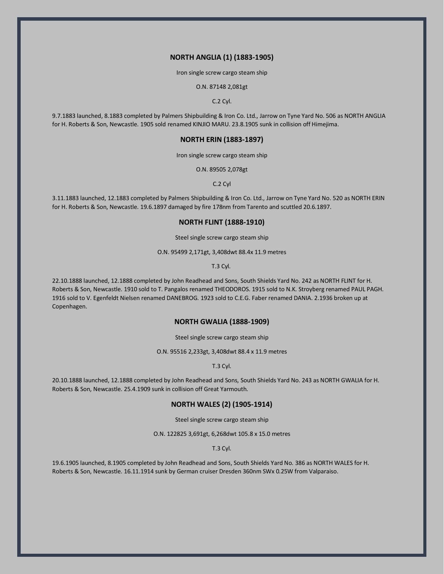## **NORTH ANGLIA (1) (1883-1905)**

Iron single screw cargo steam ship

O.N. 87148 2,081gt

C.2 Cyl.

9.7.1883 launched, 8.1883 completed by Palmers Shipbuilding & Iron Co. Ltd., Jarrow on Tyne Yard No. 506 as NORTH ANGLIA for H. Roberts & Son, Newcastle. 1905 sold renamed KINJIO MARU. 23.8.1905 sunk in collision off Himejima.

# **NORTH ERIN (1883-1897)**

Iron single screw cargo steam ship

O.N. 89505 2,078gt

C.2 Cyl

3.11.1883 launched, 12.1883 completed by Palmers Shipbuilding & Iron Co. Ltd., Jarrow on Tyne Yard No. 520 as NORTH ERIN for H. Roberts & Son, Newcastle. 19.6.1897 damaged by fire 178nm from Tarento and scuttled 20.6.1897.

# **NORTH FLINT (1888-1910)**

Steel single screw cargo steam ship

O.N. 95499 2,171gt, 3,408dwt 88.4x 11.9 metres

T.3 Cyl.

22.10.1888 launched, 12.1888 completed by John Readhead and Sons, South Shields Yard No. 242 as NORTH FLINT for H. Roberts & Son, Newcastle. 1910 sold to T. Pangalos renamed THEODOROS. 1915 sold to N.K. Stroyberg renamed PAUL PAGH. 1916 sold to V. Egenfeldt Nielsen renamed DANEBROG. 1923 sold to C.E.G. Faber renamed DANIA. 2.1936 broken up at Copenhagen.

# **NORTH GWALIA (1888-1909)**

Steel single screw cargo steam ship

O.N. 95516 2,233gt, 3,408dwt 88.4 x 11.9 metres

T.3 Cyl.

20.10.1888 launched, 12.1888 completed by John Readhead and Sons, South Shields Yard No. 243 as NORTH GWALIA for H. Roberts & Son, Newcastle. 25.4.1909 sunk in collision off Great Yarmouth.

# **NORTH WALES (2) (1905-1914)**

Steel single screw cargo steam ship

O.N. 122825 3,691gt, 6,268dwt 105.8 x 15.0 metres

T.3 Cyl.

19.6.1905 launched, 8.1905 completed by John Readhead and Sons, South Shields Yard No. 386 as NORTH WALES for H. Roberts & Son, Newcastle. 16.11.1914 sunk by German cruiser Dresden 360nm SWx 0.25W from Valparaiso.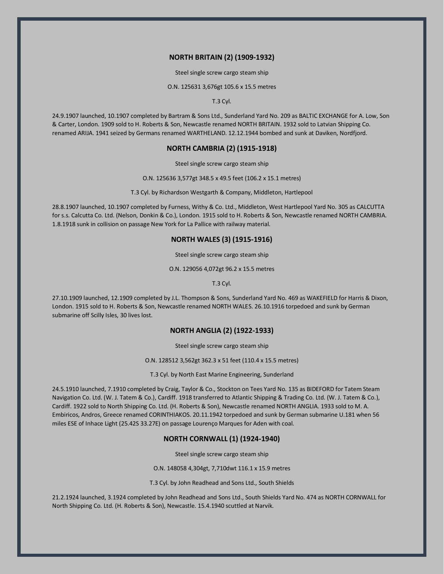# **NORTH BRITAIN (2) (1909-1932)**

Steel single screw cargo steam ship

O.N. 125631 3,676gt 105.6 x 15.5 metres

T.3 Cyl.

24.9.1907 launched, 10.1907 completed by Bartram & Sons Ltd., Sunderland Yard No. 209 as BALTIC EXCHANGE for A. Low, Son & Carter, London. 1909 sold to H. Roberts & Son, Newcastle renamed NORTH BRITAIN. 1932 sold to Latvian Shipping Co. renamed ARIJA. 1941 seized by Germans renamed WARTHELAND. 12.12.1944 bombed and sunk at Daviken, Nordfjord.

# **NORTH CAMBRIA (2) (1915-1918)**

Steel single screw cargo steam ship

O.N. 125636 3,577gt 348.5 x 49.5 feet (106.2 x 15.1 metres)

T.3 Cyl. by Richardson Westgarth & Company, Middleton, Hartlepool

28.8.1907 launched, 10.1907 completed by Furness, Withy & Co. Ltd., Middleton, West Hartlepool Yard No. 305 as CALCUTTA for s.s. Calcutta Co. Ltd. (Nelson, Donkin & Co.), London. 1915 sold to H. Roberts & Son, Newcastle renamed NORTH CAMBRIA. 1.8.1918 sunk in collision on passage New York for La Pallice with railway material.

# **NORTH WALES (3) (1915-1916)**

Steel single screw cargo steam ship

O.N. 129056 4,072gt 96.2 x 15.5 metres

T.3 Cyl.

27.10.1909 launched, 12.1909 completed by J.L. Thompson & Sons, Sunderland Yard No. 469 as WAKEFIELD for Harris & Dixon, London. 1915 sold to H. Roberts & Son, Newcastle renamed NORTH WALES. 26.10.1916 torpedoed and sunk by German submarine off Scilly Isles, 30 lives lost.

# **NORTH ANGLIA (2) (1922-1933)**

Steel single screw cargo steam ship

O.N. 128512 3,562gt 362.3 x 51 feet (110.4 x 15.5 metres)

T.3 Cyl. by North East Marine Engineering, Sunderland

24.5.1910 launched, 7.1910 completed by Craig, Taylor & Co., Stockton on Tees Yard No. 135 as BIDEFORD for Tatem Steam Navigation Co. Ltd. (W. J. Tatem & Co.), Cardiff. 1918 transferred to Atlantic Shipping & Trading Co. Ltd. (W. J. Tatem & Co.), Cardiff. 1922 sold to North Shipping Co. Ltd. (H. Roberts & Son), Newcastle renamed NORTH ANGLIA. 1933 sold to M. A. Embiricos, Andros, Greece renamed CORINTHIAKOS. 20.11.1942 torpedoed and sunk by German submarine U.181 when 56 miles ESE of Inhace Light (25.42S 33.27E) on passage Lourenço Marques for Aden with coal.

# **NORTH CORNWALL (1) (1924-1940)**

Steel single screw cargo steam ship

O.N. 148058 4,304gt, 7,710dwt 116.1 x 15.9 metres

T.3 Cyl. by John Readhead and Sons Ltd., South Shields

21.2.1924 launched, 3.1924 completed by John Readhead and Sons Ltd., South Shields Yard No. 474 as NORTH CORNWALL for North Shipping Co. Ltd. (H. Roberts & Son), Newcastle. 15.4.1940 scuttled at Narvik.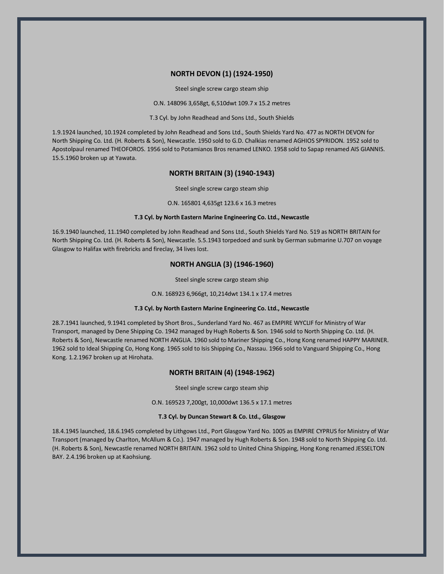## **NORTH DEVON (1) (1924-1950)**

Steel single screw cargo steam ship

O.N. 148096 3,658gt, 6,510dwt 109.7 x 15.2 metres

T.3 Cyl. by John Readhead and Sons Ltd., South Shields

1.9.1924 launched, 10.1924 completed by John Readhead and Sons Ltd., South Shields Yard No. 477 as NORTH DEVON for North Shipping Co. Ltd. (H. Roberts & Son), Newcastle. 1950 sold to G.D. Chalkias renamed AGHIOS SPYRIDON. 1952 sold to Apostolpaul renamed THEOFOROS. 1956 sold to Potamianos Bros renamed LENKO. 1958 sold to Sapap renamed AIS GIANNIS. 15.5.1960 broken up at Yawata.

## **NORTH BRITAIN (3) (1940-1943)**

Steel single screw cargo steam ship

O.N. 165801 4,635gt 123.6 x 16.3 metres

### **T.3 Cyl. by North Eastern Marine Engineering Co. Ltd., Newcastle**

16.9.1940 launched, 11.1940 completed by John Readhead and Sons Ltd., South Shields Yard No. 519 as NORTH BRITAIN for North Shipping Co. Ltd. (H. Roberts & Son), Newcastle. 5.5.1943 torpedoed and sunk by German submarine U.707 on voyage Glasgow to Halifax with firebricks and fireclay, 34 lives lost.

# **NORTH ANGLIA (3) (1946-1960)**

Steel single screw cargo steam ship

O.N. 168923 6,966gt, 10,214dwt 134.1 x 17.4 metres

#### **T.3 Cyl. by North Eastern Marine Engineering Co. Ltd., Newcastle**

28.7.1941 launched, 9.1941 completed by Short Bros., Sunderland Yard No. 467 as EMPIRE WYCLIF for Ministry of War Transport, managed by Dene Shipping Co. 1942 managed by Hugh Roberts & Son. 1946 sold to North Shipping Co. Ltd. (H. Roberts & Son), Newcastle renamed NORTH ANGLIA. 1960 sold to Mariner Shipping Co., Hong Kong renamed HAPPY MARINER. 1962 sold to Ideal Shipping Co, Hong Kong. 1965 sold to Isis Shipping Co., Nassau. 1966 sold to Vanguard Shipping Co., Hong Kong. 1.2.1967 broken up at Hirohata.

## **NORTH BRITAIN (4) (1948-1962)**

Steel single screw cargo steam ship

O.N. 169523 7,200gt, 10,000dwt 136.5 x 17.1 metres

#### **T.3 Cyl. by Duncan Stewart & Co. Ltd., Glasgow**

18.4.1945 launched, 18.6.1945 completed by Lithgows Ltd., Port Glasgow Yard No. 1005 as EMPIRE CYPRUS for Ministry of War Transport (managed by Charlton, McAllum & Co.). 1947 managed by Hugh Roberts & Son. 1948 sold to North Shipping Co. Ltd. (H. Roberts & Son), Newcastle renamed NORTH BRITAIN. 1962 sold to United China Shipping, Hong Kong renamed JESSELTON BAY. 2.4.196 broken up at Kaohsiung.